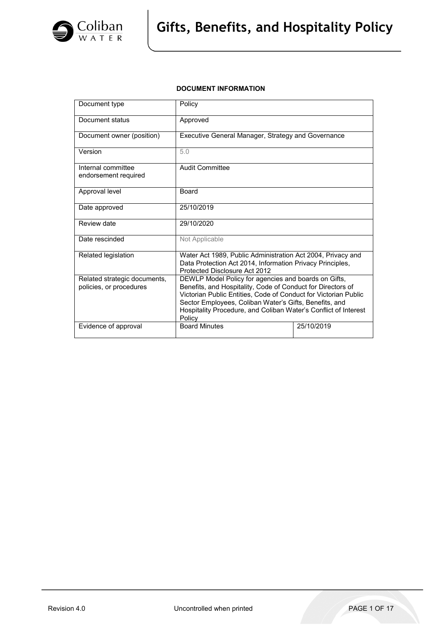

# **DOCUMENT INFORMATION**

| Document type                                           | Policy                                                                                                                                                                                                                                                                                                                        |            |  |
|---------------------------------------------------------|-------------------------------------------------------------------------------------------------------------------------------------------------------------------------------------------------------------------------------------------------------------------------------------------------------------------------------|------------|--|
| Document status                                         | Approved                                                                                                                                                                                                                                                                                                                      |            |  |
| Document owner (position)                               | Executive General Manager, Strategy and Governance                                                                                                                                                                                                                                                                            |            |  |
| Version                                                 | 5.0                                                                                                                                                                                                                                                                                                                           |            |  |
| Internal committee<br>endorsement required              | Audit Committee                                                                                                                                                                                                                                                                                                               |            |  |
| Approval level                                          | Board                                                                                                                                                                                                                                                                                                                         |            |  |
| Date approved                                           | 25/10/2019                                                                                                                                                                                                                                                                                                                    |            |  |
| Review date                                             | 29/10/2020                                                                                                                                                                                                                                                                                                                    |            |  |
| Date rescinded                                          | Not Applicable                                                                                                                                                                                                                                                                                                                |            |  |
| Related legislation                                     | Water Act 1989, Public Administration Act 2004, Privacy and<br>Data Protection Act 2014, Information Privacy Principles,<br>Protected Disclosure Act 2012                                                                                                                                                                     |            |  |
| Related strategic documents,<br>policies, or procedures | DEWLP Model Policy for agencies and boards on Gifts,<br>Benefits, and Hospitality, Code of Conduct for Directors of<br>Victorian Public Entities, Code of Conduct for Victorian Public<br>Sector Employees, Coliban Water's Gifts, Benefits, and<br>Hospitality Procedure, and Coliban Water's Conflict of Interest<br>Policy |            |  |
| Evidence of approval                                    | <b>Board Minutes</b>                                                                                                                                                                                                                                                                                                          | 25/10/2019 |  |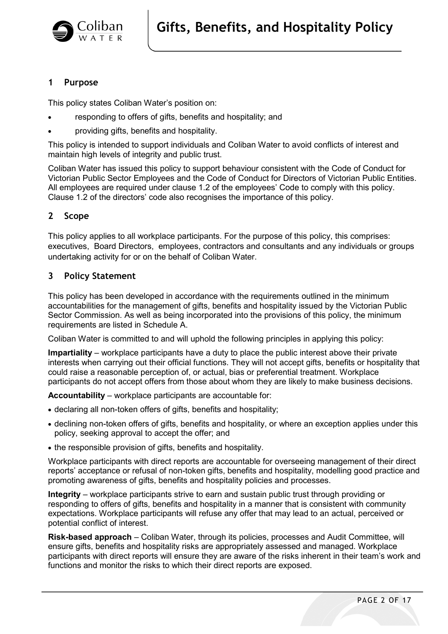

# **1 Purpose**

This policy states Coliban Water's position on:

- responding to offers of gifts, benefits and hospitality; and
- providing gifts, benefits and hospitality.

This policy is intended to support individuals and Coliban Water to avoid conflicts of interest and maintain high levels of integrity and public trust.

Coliban Water has issued this policy to support behaviour consistent with the Code of Conduct for Victorian Public Sector Employees and the Code of Conduct for Directors of Victorian Public Entities. All employees are required under clause 1.2 of the employees' Code to comply with this policy. Clause 1.2 of the directors' code also recognises the importance of this policy.

# **2 Scope**

This policy applies to all workplace participants. For the purpose of this policy, this comprises: executives, Board Directors, employees, contractors and consultants and any individuals or groups undertaking activity for or on the behalf of Coliban Water.

# **3 Policy Statement**

This policy has been developed in accordance with the requirements outlined in the minimum accountabilities for the management of gifts, benefits and hospitality issued by the Victorian Public Sector Commission. As well as being incorporated into the provisions of this policy, the minimum requirements are listed in Schedule A.

Coliban Water is committed to and will uphold the following principles in applying this policy:

**Impartiality** – workplace participants have a duty to place the public interest above their private interests when carrying out their official functions. They will not accept gifts, benefits or hospitality that could raise a reasonable perception of, or actual, bias or preferential treatment. Workplace participants do not accept offers from those about whom they are likely to make business decisions.

**Accountability** – workplace participants are accountable for:

- declaring all non-token offers of gifts, benefits and hospitality;
- declining non-token offers of gifts, benefits and hospitality, or where an exception applies under this policy, seeking approval to accept the offer; and
- the responsible provision of gifts, benefits and hospitality.

Workplace participants with direct reports are accountable for overseeing management of their direct reports' acceptance or refusal of non-token gifts, benefits and hospitality, modelling good practice and promoting awareness of gifts, benefits and hospitality policies and processes.

**Integrity** – workplace participants strive to earn and sustain public trust through providing or responding to offers of gifts, benefits and hospitality in a manner that is consistent with community expectations. Workplace participants will refuse any offer that may lead to an actual, perceived or potential conflict of interest.

**Risk-based approach** – Coliban Water, through its policies, processes and Audit Committee, will ensure gifts, benefits and hospitality risks are appropriately assessed and managed. Workplace participants with direct reports will ensure they are aware of the risks inherent in their team's work and functions and monitor the risks to which their direct reports are exposed.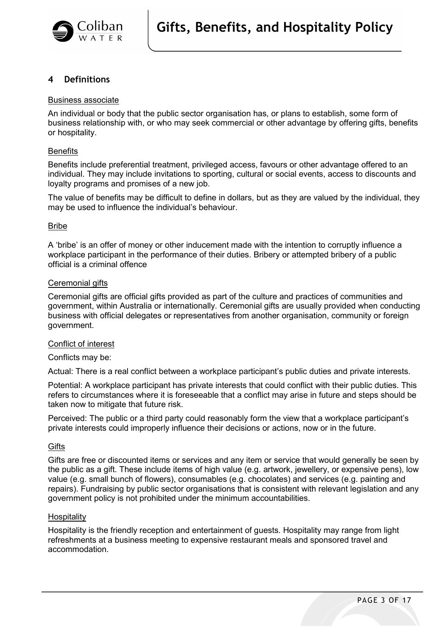

# **4 Definitions**

#### Business associate

An individual or body that the public sector organisation has, or plans to establish, some form of business relationship with, or who may seek commercial or other advantage by offering gifts, benefits or hospitality.

#### **Benefits**

Benefits include preferential treatment, privileged access, favours or other advantage offered to an individual. They may include invitations to sporting, cultural or social events, access to discounts and loyalty programs and promises of a new job.

The value of benefits may be difficult to define in dollars, but as they are valued by the individual, they may be used to influence the individual's behaviour.

## Bribe

A 'bribe' is an offer of money or other inducement made with the intention to corruptly influence a workplace participant in the performance of their duties. Bribery or attempted bribery of a public official is a criminal offence

# Ceremonial gifts

Ceremonial gifts are official gifts provided as part of the culture and practices of communities and government, within Australia or internationally. Ceremonial gifts are usually provided when conducting business with official delegates or representatives from another organisation, community or foreign government.

#### Conflict of interest

#### Conflicts may be:

Actual: There is a real conflict between a workplace participant's public duties and private interests.

Potential: A workplace participant has private interests that could conflict with their public duties. This refers to circumstances where it is foreseeable that a conflict may arise in future and steps should be taken now to mitigate that future risk.

Perceived: The public or a third party could reasonably form the view that a workplace participant's private interests could improperly influence their decisions or actions, now or in the future.

#### **Gifts**

Gifts are free or discounted items or services and any item or service that would generally be seen by the public as a gift. These include items of high value (e.g. artwork, jewellery, or expensive pens), low value (e.g. small bunch of flowers), consumables (e.g. chocolates) and services (e.g. painting and repairs). Fundraising by public sector organisations that is consistent with relevant legislation and any government policy is not prohibited under the minimum accountabilities.

#### **Hospitality**

Hospitality is the friendly reception and entertainment of guests. Hospitality may range from light refreshments at a business meeting to expensive restaurant meals and sponsored travel and accommodation.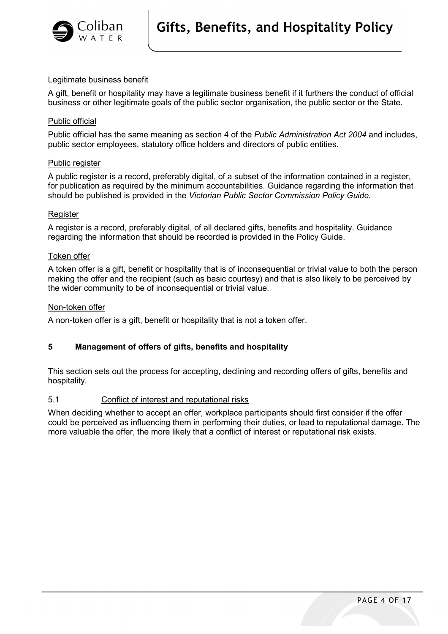

## Legitimate business benefit

A gift, benefit or hospitality may have a legitimate business benefit if it furthers the conduct of official business or other legitimate goals of the public sector organisation, the public sector or the State.

#### Public official

Public official has the same meaning as section 4 of the *Public Administration Act 2004* and includes, public sector employees, statutory office holders and directors of public entities.

#### Public register

A public register is a record, preferably digital, of a subset of the information contained in a register, for publication as required by the minimum accountabilities. Guidance regarding the information that should be published is provided in the *[Victorian Public Sector Commission Policy Guide.](https://vpsc.vic.gov.au/html-resources/gifts-benefits-hospitality-policy-guide/)*

#### **Register**

A register is a record, preferably digital, of all declared gifts, benefits and hospitality. Guidance regarding the information that should be recorded is provided in the Policy Guide.

#### Token offer

A token offer is a gift, benefit or hospitality that is of inconsequential or trivial value to both the person making the offer and the recipient (such as basic courtesy) and that is also likely to be perceived by the wider community to be of inconsequential or trivial value.

#### Non-token offer

A non-token offer is a gift, benefit or hospitality that is not a token offer.

# **5 Management of offers of gifts, benefits and hospitality**

This section sets out the process for accepting, declining and recording offers of gifts, benefits and hospitality.

#### 5.1 Conflict of interest and reputational risks

When deciding whether to accept an offer, workplace participants should first consider if the offer could be perceived as influencing them in performing their duties, or lead to reputational damage. The more valuable the offer, the more likely that a conflict of interest or reputational risk exists.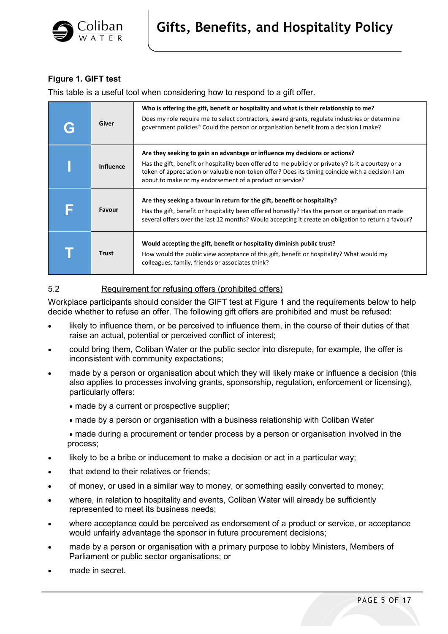

# **Figure 1. GIFT test**

This table is a useful tool when considering how to respond to a gift offer.

| G | Giver            | Who is offering the gift, benefit or hospitality and what is their relationship to me?<br>Does my role require me to select contractors, award grants, regulate industries or determine<br>government policies? Could the person or organisation benefit from a decision I make?                                                                    |
|---|------------------|-----------------------------------------------------------------------------------------------------------------------------------------------------------------------------------------------------------------------------------------------------------------------------------------------------------------------------------------------------|
|   | <b>Influence</b> | Are they seeking to gain an advantage or influence my decisions or actions?<br>Has the gift, benefit or hospitality been offered to me publicly or privately? Is it a courtesy or a<br>token of appreciation or valuable non-token offer? Does its timing coincide with a decision I am<br>about to make or my endorsement of a product or service? |
| F | <b>Favour</b>    | Are they seeking a favour in return for the gift, benefit or hospitality?<br>Has the gift, benefit or hospitality been offered honestly? Has the person or organisation made<br>several offers over the last 12 months? Would accepting it create an obligation to return a favour?                                                                 |
|   | <b>Trust</b>     | Would accepting the gift, benefit or hospitality diminish public trust?<br>How would the public view acceptance of this gift, benefit or hospitality? What would my<br>colleagues, family, friends or associates think?                                                                                                                             |

# 5.2 Requirement for refusing offers (prohibited offers)

Workplace participants should consider the GIFT test at Figure 1 and the requirements below to help decide whether to refuse an offer. The following gift offers are prohibited and must be refused:

- likely to influence them, or be perceived to influence them, in the course of their duties of that raise an actual, potential or perceived conflict of interest;
- could bring them, Coliban Water or the public sector into disrepute, for example, the offer is inconsistent with community expectations;
- made by a person or organisation about which they will likely make or influence a decision (this also applies to processes involving grants, sponsorship, regulation, enforcement or licensing), particularly offers:
	- made by a current or prospective supplier;
	- made by a person or organisation with a business relationship with Coliban Water

• made during a procurement or tender process by a person or organisation involved in the process;

- likely to be a bribe or inducement to make a decision or act in a particular way;
- that extend to their relatives or friends;
- of money, or used in a similar way to money, or something easily converted to money;
- where, in relation to hospitality and events, Coliban Water will already be sufficiently represented to meet its business needs;
- where acceptance could be perceived as endorsement of a product or service, or acceptance would unfairly advantage the sponsor in future procurement decisions;
- made by a person or organisation with a primary purpose to lobby Ministers, Members of Parliament or public sector organisations; or
- made in secret.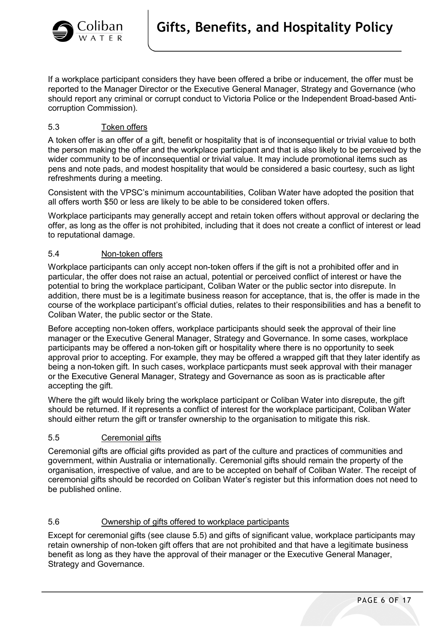

If a workplace participant considers they have been offered a bribe or inducement, the offer must be reported to the Manager Director or the Executive General Manager, Strategy and Governance (who should report any criminal or corrupt conduct to Victoria Police or the Independent Broad-based Anticorruption Commission).

# 5.3 Token offers

A token offer is an offer of a gift, benefit or hospitality that is of inconsequential or trivial value to both the person making the offer and the workplace participant and that is also likely to be perceived by the wider community to be of inconsequential or trivial value. It may include promotional items such as pens and note pads, and modest hospitality that would be considered a basic courtesy, such as light refreshments during a meeting.

Consistent with the VPSC's minimum accountabilities, Coliban Water have adopted the position that all offers worth \$50 or less are likely to be able to be considered token offers.

Workplace participants may generally accept and retain token offers without approval or declaring the offer, as long as the offer is not prohibited, including that it does not create a conflict of interest or lead to reputational damage.

# 5.4 Non-token offers

Workplace participants can only accept non-token offers if the gift is not a prohibited offer and in particular, the offer does not raise an actual, potential or perceived conflict of interest or have the potential to bring the workplace participant, Coliban Water or the public sector into disrepute. In addition, there must be is a legitimate business reason for acceptance, that is, the offer is made in the course of the workplace participant's official duties, relates to their responsibilities and has a benefit to Coliban Water, the public sector or the State.

Before accepting non-token offers, workplace participants should seek the approval of their line manager or the Executive General Manager, Strategy and Governance. In some cases, workplace participants may be offered a non-token gift or hospitality where there is no opportunity to seek approval prior to accepting. For example, they may be offered a wrapped gift that they later identify as being a non-token gift. In such cases, workplace particpants must seek approval with their manager or the Executive General Manager, Strategy and Governance as soon as is practicable after accepting the gift.

Where the gift would likely bring the workplace participant or Coliban Water into disrepute, the gift should be returned. If it represents a conflict of interest for the workplace participant, Coliban Water should either return the gift or transfer ownership to the organisation to mitigate this risk.

# 5.5 Ceremonial gifts

Ceremonial gifts are official gifts provided as part of the culture and practices of communities and government, within Australia or internationally. Ceremonial gifts should remain the property of the organisation, irrespective of value, and are to be accepted on behalf of Coliban Water. The receipt of ceremonial gifts should be recorded on Coliban Water's register but this information does not need to be published online.

# 5.6 Ownership of gifts offered to workplace participants

Except for ceremonial gifts (see clause 5.5) and gifts of significant value, workplace participants may retain ownership of non-token gift offers that are not prohibited and that have a legitimate business benefit as long as they have the approval of their manager or the Executive General Manager, Strategy and Governance.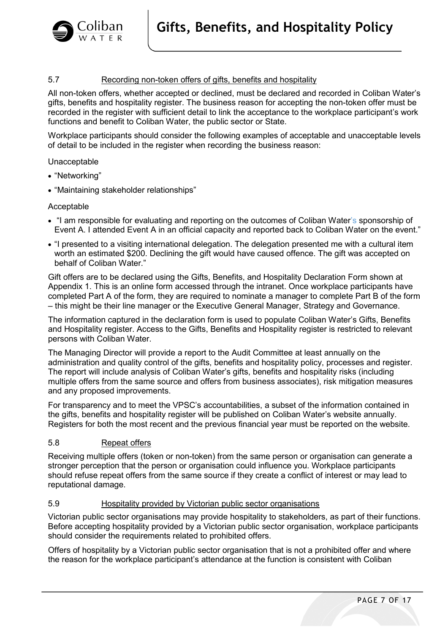

# 5.7 Recording non-token offers of gifts, benefits and hospitality

All non-token offers, whether accepted or declined, must be declared and recorded in Coliban Water's gifts, benefits and hospitality register. The business reason for accepting the non-token offer must be recorded in the register with sufficient detail to link the acceptance to the workplace participant's work functions and benefit to Coliban Water, the public sector or State.

Workplace participants should consider the following examples of acceptable and unacceptable levels of detail to be included in the register when recording the business reason:

#### Unacceptable

- "Networking"
- "Maintaining stakeholder relationships"

#### Acceptable

- "I am responsible for evaluating and reporting on the outcomes of Coliban Water's sponsorship of Event A. I attended Event A in an official capacity and reported back to Coliban Water on the event."
- "I presented to a visiting international delegation. The delegation presented me with a cultural item worth an estimated \$200. Declining the gift would have caused offence. The gift was accepted on behalf of Coliban Water."

Gift offers are to be declared using the Gifts, Benefits, and Hospitality Declaration Form shown at Appendix 1. This is an online form accessed through the intranet. Once workplace participants have completed Part A of the form, they are required to nominate a manager to complete Part B of the form – this might be their line manager or the Executive General Manager, Strategy and Governance.

The information captured in the declaration form is used to populate Coliban Water's Gifts, Benefits and Hospitality register. Access to the Gifts, Benefits and Hospitality register is restricted to relevant persons with Coliban Water.

The Managing Director will provide a report to the Audit Committee at least annually on the administration and quality control of the gifts, benefits and hospitality policy, processes and register. The report will include analysis of Coliban Water's gifts, benefits and hospitality risks (including multiple offers from the same source and offers from business associates), risk mitigation measures and any proposed improvements.

For transparency and to meet the VPSC's accountabilities, a subset of the information contained in the gifts, benefits and hospitality register will be published on Coliban Water's website annually. Registers for both the most recent and the previous financial year must be reported on the website.

## 5.8 Repeat offers

Receiving multiple offers (token or non-token) from the same person or organisation can generate a stronger perception that the person or organisation could influence you. Workplace participants should refuse repeat offers from the same source if they create a conflict of interest or may lead to reputational damage.

#### 5.9 Hospitality provided by Victorian public sector organisations

Victorian public sector organisations may provide hospitality to stakeholders, as part of their functions. Before accepting hospitality provided by a Victorian public sector organisation, workplace participants should consider the requirements related to prohibited offers.

Offers of hospitality by a Victorian public sector organisation that is not a prohibited offer and where the reason for the workplace participant's attendance at the function is consistent with Coliban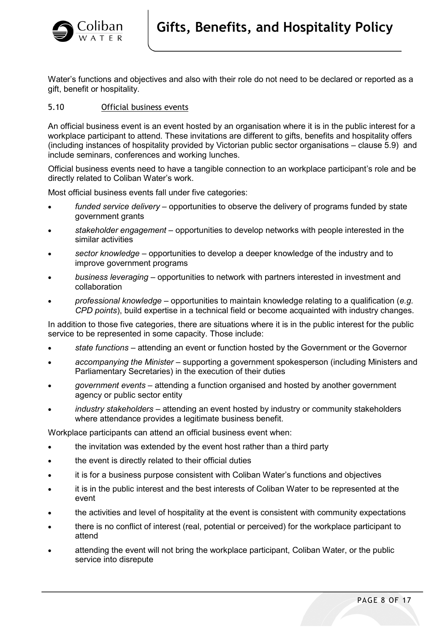

Water's functions and objectives and also with their role do not need to be declared or reported as a gift, benefit or hospitality.

# 5.10 Official business events

An official business event is an event hosted by an organisation where it is in the public interest for a workplace participant to attend. These invitations are different to gifts, benefits and hospitality offers (including instances of hospitality provided by Victorian public sector organisations – clause 5.9) and include seminars, conferences and working lunches.

Official business events need to have a tangible connection to an workplace participant's role and be directly related to Coliban Water's work.

Most official business events fall under five categories:

- *funded service delivery* opportunities to observe the delivery of programs funded by state government grants
- *stakeholder engagement* opportunities to develop networks with people interested in the similar activities
- *sector knowledge –* opportunities to develop a deeper knowledge of the industry and to improve government programs
- *business leveraging*  opportunities to network with partners interested in investment and collaboration
- *professional knowledge*  opportunities to maintain knowledge relating to a qualification (*e.g. CPD points*), build expertise in a technical field or become acquainted with industry changes.

In addition to those five categories, there are situations where it is in the public interest for the public service to be represented in some capacity. Those include:

- *state functions* attending an event or function hosted by the Government or the Governor
- *accompanying the Minister* supporting a government spokesperson (including Ministers and Parliamentary Secretaries) in the execution of their duties
- *government events*  attending a function organised and hosted by another government agency or public sector entity
- *industry stakeholders*  attending an event hosted by industry or community stakeholders where attendance provides a legitimate business benefit.

Workplace participants can attend an official business event when:

- the invitation was extended by the event host rather than a third party
- the event is directly related to their official duties
- it is for a business purpose consistent with Coliban Water's functions and objectives
- it is in the public interest and the best interests of Coliban Water to be represented at the event
- the activities and level of hospitality at the event is consistent with community expectations
- there is no conflict of interest (real, potential or perceived) for the workplace participant to attend
- attending the event will not bring the workplace participant, Coliban Water, or the public service into disrepute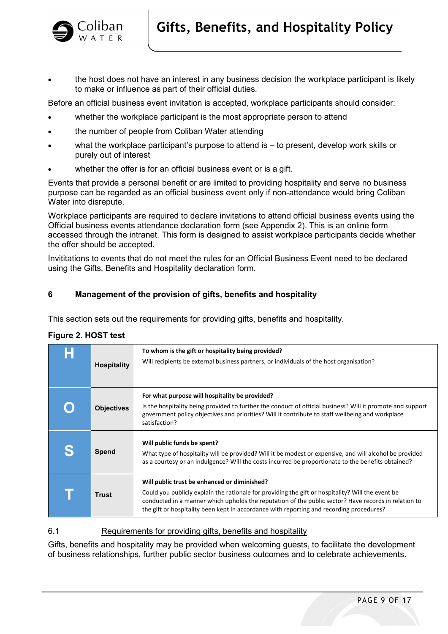

• the host does not have an interest in any business decision the workplace participant is likely to make or influence as part of their official duties.

Before an official business event invitation is accepted, workplace participants should consider:

- whether the workplace participant is the most appropriate person to attend
- the number of people from Coliban Water attending
- what the workplace participant's purpose to attend is to present, develop work skills or purely out of interest
- whether the offer is for an official business event or is a gift.

Events that provide a personal benefit or are limited to providing hospitality and serve no business purpose can be regarded as an official business event only if non-attendance would bring Coliban Water into disrepute.

Workplace participants are required to declare invitations to attend official business events using the Official business events attendance declaration form (see Appendix 2). This is an online form accessed through the intranet. This form is designed to assist workplace participants decide whether the offer should be accepted.

Invititations to events that do not meet the rules for an Official Business Event need to be declared using the Gifts, Benefits and Hospitality declaration form.

# **6 Management of the provision of gifts, benefits and hospitality**

This section sets out the requirements for providing gifts, benefits and hospitality.

# **Figure 2. HOST test**

| <b>Hospitality</b> | To whom is the gift or hospitality being provided?<br>Will recipients be external business partners, or individuals of the host organisation?                                                                                                                                                                                                         |
|--------------------|-------------------------------------------------------------------------------------------------------------------------------------------------------------------------------------------------------------------------------------------------------------------------------------------------------------------------------------------------------|
| <b>Objectives</b>  | For what purpose will hospitality be provided?<br>Is the hospitality being provided to further the conduct of official business? Will it promote and support<br>government policy objectives and priorities? Will it contribute to staff wellbeing and workplace<br>satisfaction?                                                                     |
| <b>Spend</b>       | Will public funds be spent?<br>What type of hospitality will be provided? Will it be modest or expensive, and will alcohol be provided<br>as a courtesy or an indulgence? Will the costs incurred be proportionate to the benefits obtained?                                                                                                          |
| Trust              | Will public trust be enhanced or diminished?<br>Could you publicly explain the rationale for providing the gift or hospitality? Will the event be<br>conducted in a manner which upholds the reputation of the public sector? Have records in relation to<br>the gift or hospitality been kept in accordance with reporting and recording procedures? |

# 6.1 Requirements for providing gifts, benefits and hospitality

Gifts, benefits and hospitality may be provided when welcoming guests, to facilitate the development of business relationships, further public sector business outcomes and to celebrate achievements.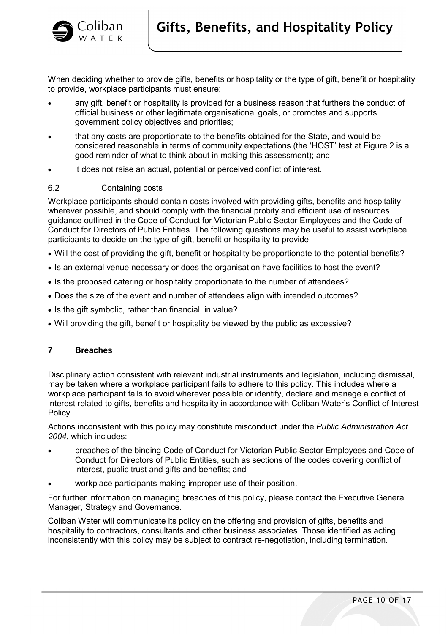

When deciding whether to provide gifts, benefits or hospitality or the type of gift, benefit or hospitality to provide, workplace participants must ensure:

- any gift, benefit or hospitality is provided for a business reason that furthers the conduct of official business or other legitimate organisational goals, or promotes and supports government policy objectives and priorities;
- that any costs are proportionate to the benefits obtained for the State, and would be considered reasonable in terms of community expectations (the 'HOST' test at Figure 2 is a good reminder of what to think about in making this assessment); and
- it does not raise an actual, potential or perceived conflict of interest.

## 6.2 Containing costs

Workplace participants should contain costs involved with providing gifts, benefits and hospitality wherever possible, and should comply with the financial probity and efficient use of resources guidance outlined in the Code of Conduct for Victorian Public Sector Employees and the Code of Conduct for Directors of Public Entities. The following questions may be useful to assist workplace participants to decide on the type of gift, benefit or hospitality to provide:

- Will the cost of providing the gift, benefit or hospitality be proportionate to the potential benefits?
- Is an external venue necessary or does the organisation have facilities to host the event?
- Is the proposed catering or hospitality proportionate to the number of attendees?
- Does the size of the event and number of attendees align with intended outcomes?
- Is the gift symbolic, rather than financial, in value?
- Will providing the gift, benefit or hospitality be viewed by the public as excessive?

# **7 Breaches**

Disciplinary action consistent with relevant industrial instruments and legislation, including dismissal, may be taken where a workplace participant fails to adhere to this policy. This includes where a workplace participant fails to avoid wherever possible or identify, declare and manage a conflict of interest related to gifts, benefits and hospitality in accordance with Coliban Water's Conflict of Interest Policy.

Actions inconsistent with this policy may constitute misconduct under the *Public Administration Act 2004*, which includes:

- breaches of the binding Code of Conduct for Victorian Public Sector Employees and Code of Conduct for Directors of Public Entities, such as sections of the codes covering conflict of interest, public trust and gifts and benefits; and
- workplace participants making improper use of their position.

For further information on managing breaches of this policy, please contact the Executive General Manager, Strategy and Governance.

Coliban Water will communicate its policy on the offering and provision of gifts, benefits and hospitality to contractors, consultants and other business associates. Those identified as acting inconsistently with this policy may be subject to contract re-negotiation, including termination.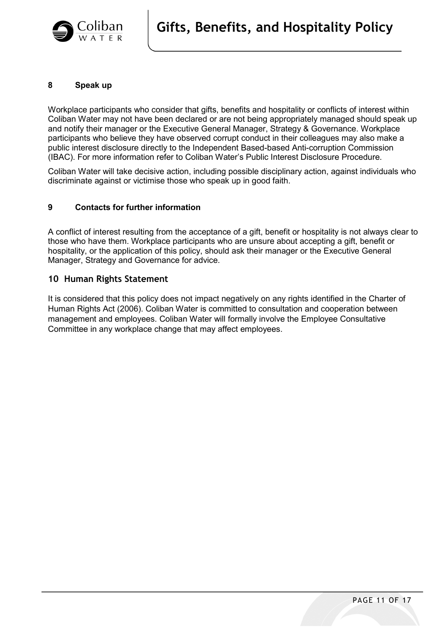

## **8 Speak up**

Workplace participants who consider that gifts, benefits and hospitality or conflicts of interest within Coliban Water may not have been declared or are not being appropriately managed should speak up and notify their manager or the Executive General Manager, Strategy & Governance. Workplace participants who believe they have observed corrupt conduct in their colleagues may also make a public interest disclosure directly to the Independent Based-based Anti-corruption Commission (IBAC). For more information refer to Coliban Water's Public Interest Disclosure Procedure.

Coliban Water will take decisive action, including possible disciplinary action, against individuals who discriminate against or victimise those who speak up in good faith.

## **9 Contacts for further information**

A conflict of interest resulting from the acceptance of a gift, benefit or hospitality is not always clear to those who have them. Workplace participants who are unsure about accepting a gift, benefit or hospitality, or the application of this policy, should ask their manager or the Executive General Manager, Strategy and Governance for advice.

## **10 Human Rights Statement**

It is considered that this policy does not impact negatively on any rights identified in the Charter of Human Rights Act (2006). Coliban Water is committed to consultation and cooperation between management and employees. Coliban Water will formally involve the Employee Consultative Committee in any workplace change that may affect employees.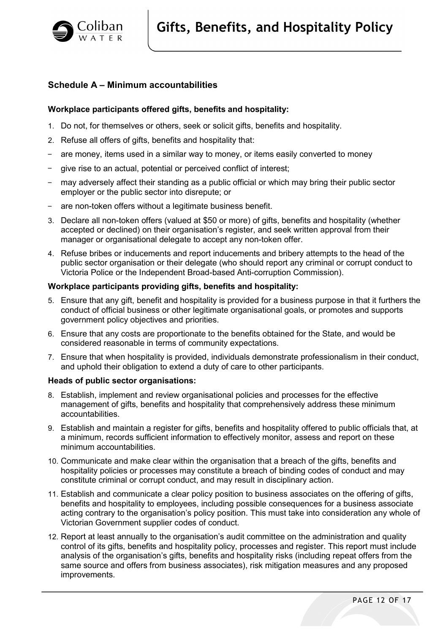

# **Schedule A – Minimum accountabilities**

# **Workplace participants offered gifts, benefits and hospitality:**

- 1. Do not, for themselves or others, seek or solicit gifts, benefits and hospitality.
- 2. Refuse all offers of gifts, benefits and hospitality that:
- are money, items used in a similar way to money, or items easily converted to money
- give rise to an actual, potential or perceived conflict of interest;
- may adversely affect their standing as a public official or which may bring their public sector employer or the public sector into disrepute; or
- are non-token offers without a legitimate business benefit.
- 3. Declare all non-token offers (valued at \$50 or more) of gifts, benefits and hospitality (whether accepted or declined) on their organisation's register, and seek written approval from their manager or organisational delegate to accept any non-token offer.
- 4. Refuse bribes or inducements and report inducements and bribery attempts to the head of the public sector organisation or their delegate (who should report any criminal or corrupt conduct to Victoria Police or the Independent Broad-based Anti-corruption Commission).

# **Workplace participants providing gifts, benefits and hospitality:**

- 5. Ensure that any gift, benefit and hospitality is provided for a business purpose in that it furthers the conduct of official business or other legitimate organisational goals, or promotes and supports government policy objectives and priorities.
- 6. Ensure that any costs are proportionate to the benefits obtained for the State, and would be considered reasonable in terms of community expectations.
- 7. Ensure that when hospitality is provided, individuals demonstrate professionalism in their conduct, and uphold their obligation to extend a duty of care to other participants.

#### **Heads of public sector organisations:**

- 8. Establish, implement and review organisational policies and processes for the effective management of gifts, benefits and hospitality that comprehensively address these minimum accountabilities.
- 9. Establish and maintain a register for gifts, benefits and hospitality offered to public officials that, at a minimum, records sufficient information to effectively monitor, assess and report on these minimum accountabilities.
- 10. Communicate and make clear within the organisation that a breach of the gifts, benefits and hospitality policies or processes may constitute a breach of binding codes of conduct and may constitute criminal or corrupt conduct, and may result in disciplinary action.
- 11. Establish and communicate a clear policy position to business associates on the offering of gifts, benefits and hospitality to employees, including possible consequences for a business associate acting contrary to the organisation's policy position. This must take into consideration any whole of Victorian Government supplier codes of conduct.
- 12. Report at least annually to the organisation's audit committee on the administration and quality control of its gifts, benefits and hospitality policy, processes and register. This report must include analysis of the organisation's gifts, benefits and hospitality risks (including repeat offers from the same source and offers from business associates), risk mitigation measures and any proposed improvements.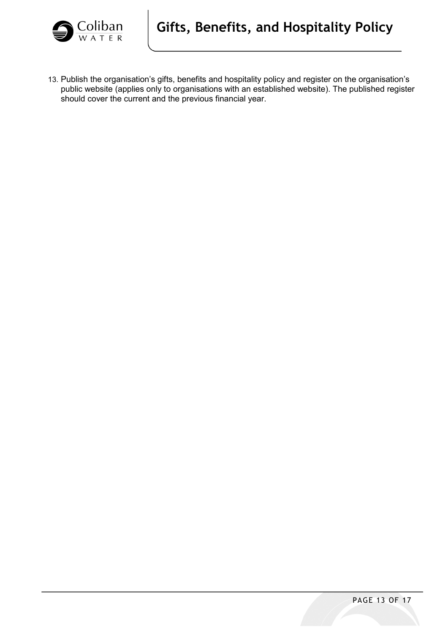

13. Publish the organisation's gifts, benefits and hospitality policy and register on the organisation's public website (applies only to organisations with an established website). The published register should cover the current and the previous financial year.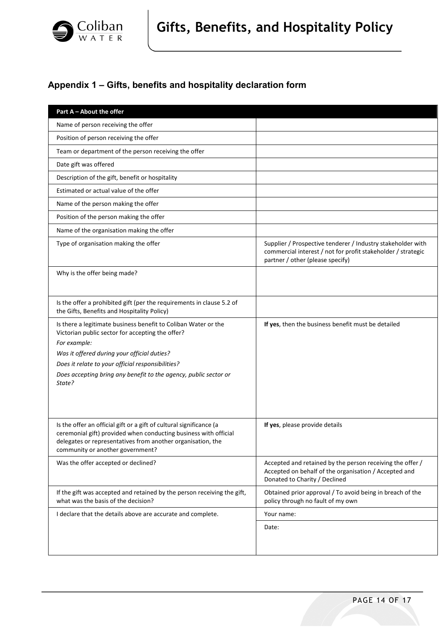

# **Appendix 1 – Gifts, benefits and hospitality declaration form**

| Part A - About the offer                                                                                                                                                                                                                   |                                                                                                                                                                 |
|--------------------------------------------------------------------------------------------------------------------------------------------------------------------------------------------------------------------------------------------|-----------------------------------------------------------------------------------------------------------------------------------------------------------------|
| Name of person receiving the offer                                                                                                                                                                                                         |                                                                                                                                                                 |
| Position of person receiving the offer                                                                                                                                                                                                     |                                                                                                                                                                 |
| Team or department of the person receiving the offer                                                                                                                                                                                       |                                                                                                                                                                 |
| Date gift was offered                                                                                                                                                                                                                      |                                                                                                                                                                 |
| Description of the gift, benefit or hospitality                                                                                                                                                                                            |                                                                                                                                                                 |
| Estimated or actual value of the offer                                                                                                                                                                                                     |                                                                                                                                                                 |
| Name of the person making the offer                                                                                                                                                                                                        |                                                                                                                                                                 |
| Position of the person making the offer                                                                                                                                                                                                    |                                                                                                                                                                 |
| Name of the organisation making the offer                                                                                                                                                                                                  |                                                                                                                                                                 |
| Type of organisation making the offer                                                                                                                                                                                                      | Supplier / Prospective tenderer / Industry stakeholder with<br>commercial interest / not for profit stakeholder / strategic<br>partner / other (please specify) |
| Why is the offer being made?                                                                                                                                                                                                               |                                                                                                                                                                 |
| Is the offer a prohibited gift (per the requirements in clause 5.2 of<br>the Gifts, Benefits and Hospitality Policy)                                                                                                                       |                                                                                                                                                                 |
| Is there a legitimate business benefit to Coliban Water or the<br>Victorian public sector for accepting the offer?                                                                                                                         | If yes, then the business benefit must be detailed                                                                                                              |
| For example:                                                                                                                                                                                                                               |                                                                                                                                                                 |
| Was it offered during your official duties?                                                                                                                                                                                                |                                                                                                                                                                 |
| Does it relate to your official responsibilities?<br>Does accepting bring any benefit to the agency, public sector or                                                                                                                      |                                                                                                                                                                 |
| State?                                                                                                                                                                                                                                     |                                                                                                                                                                 |
| Is the offer an official gift or a gift of cultural significance (a<br>ceremonial gift) provided when conducting business with official<br>delegates or representatives from another organisation, the<br>community or another government? | If yes, please provide details                                                                                                                                  |
| Was the offer accepted or declined?                                                                                                                                                                                                        | Accepted and retained by the person receiving the offer /<br>Accepted on behalf of the organisation / Accepted and<br>Donated to Charity / Declined             |
| If the gift was accepted and retained by the person receiving the gift,<br>what was the basis of the decision?                                                                                                                             | Obtained prior approval / To avoid being in breach of the<br>policy through no fault of my own                                                                  |
| I declare that the details above are accurate and complete.                                                                                                                                                                                | Your name:                                                                                                                                                      |
|                                                                                                                                                                                                                                            | Date:                                                                                                                                                           |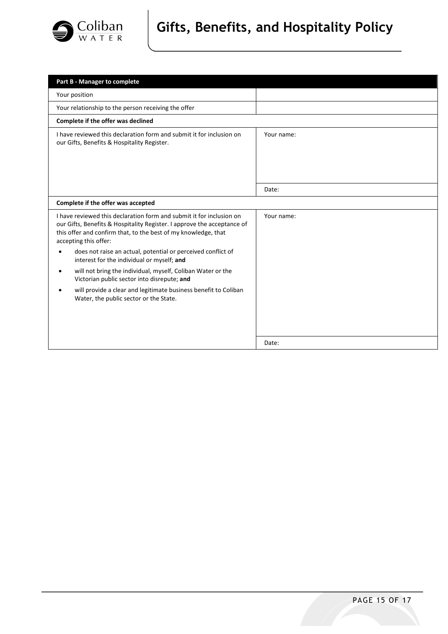

# **Gifts, Benefits, and Hospitality Policy**

| Part B - Manager to complete                                                                                                                                                                                                               |            |
|--------------------------------------------------------------------------------------------------------------------------------------------------------------------------------------------------------------------------------------------|------------|
| Your position                                                                                                                                                                                                                              |            |
| Your relationship to the person receiving the offer                                                                                                                                                                                        |            |
| Complete if the offer was declined                                                                                                                                                                                                         |            |
| I have reviewed this declaration form and submit it for inclusion on<br>our Gifts, Benefits & Hospitality Register.                                                                                                                        | Your name: |
|                                                                                                                                                                                                                                            |            |
|                                                                                                                                                                                                                                            | Date:      |
| Complete if the offer was accepted                                                                                                                                                                                                         |            |
| I have reviewed this declaration form and submit it for inclusion on<br>our Gifts, Benefits & Hospitality Register. I approve the acceptance of<br>this offer and confirm that, to the best of my knowledge, that<br>accepting this offer: | Your name: |
| does not raise an actual, potential or perceived conflict of<br>interest for the individual or myself; and                                                                                                                                 |            |
| will not bring the individual, myself, Coliban Water or the<br>$\bullet$<br>Victorian public sector into disrepute; and                                                                                                                    |            |
| will provide a clear and legitimate business benefit to Coliban<br>Water, the public sector or the State.                                                                                                                                  |            |
|                                                                                                                                                                                                                                            | Date:      |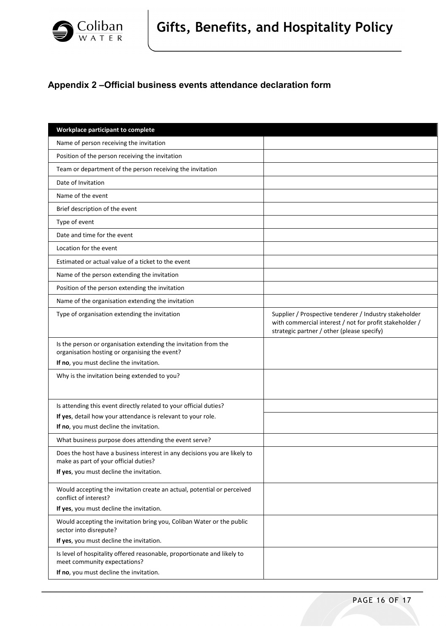

# **Appendix 2 –Official business events attendance declaration form**

| Workplace participant to complete                                                                                  |                                                                                                                                                                 |
|--------------------------------------------------------------------------------------------------------------------|-----------------------------------------------------------------------------------------------------------------------------------------------------------------|
| Name of person receiving the invitation                                                                            |                                                                                                                                                                 |
| Position of the person receiving the invitation                                                                    |                                                                                                                                                                 |
| Team or department of the person receiving the invitation                                                          |                                                                                                                                                                 |
| Date of Invitation                                                                                                 |                                                                                                                                                                 |
| Name of the event                                                                                                  |                                                                                                                                                                 |
| Brief description of the event                                                                                     |                                                                                                                                                                 |
| Type of event                                                                                                      |                                                                                                                                                                 |
| Date and time for the event                                                                                        |                                                                                                                                                                 |
| Location for the event                                                                                             |                                                                                                                                                                 |
| Estimated or actual value of a ticket to the event                                                                 |                                                                                                                                                                 |
| Name of the person extending the invitation                                                                        |                                                                                                                                                                 |
| Position of the person extending the invitation                                                                    |                                                                                                                                                                 |
| Name of the organisation extending the invitation                                                                  |                                                                                                                                                                 |
| Type of organisation extending the invitation                                                                      | Supplier / Prospective tenderer / Industry stakeholder<br>with commercial interest / not for profit stakeholder /<br>strategic partner / other (please specify) |
| Is the person or organisation extending the invitation from the<br>organisation hosting or organising the event?   |                                                                                                                                                                 |
| If no, you must decline the invitation.                                                                            |                                                                                                                                                                 |
| Why is the invitation being extended to you?                                                                       |                                                                                                                                                                 |
| Is attending this event directly related to your official duties?                                                  |                                                                                                                                                                 |
| If yes, detail how your attendance is relevant to your role.                                                       |                                                                                                                                                                 |
| If no, you must decline the invitation.                                                                            |                                                                                                                                                                 |
| What business purpose does attending the event serve?                                                              |                                                                                                                                                                 |
| Does the host have a business interest in any decisions you are likely to<br>make as part of your official duties? |                                                                                                                                                                 |
| If yes, you must decline the invitation.                                                                           |                                                                                                                                                                 |
| Would accepting the invitation create an actual, potential or perceived<br>conflict of interest?                   |                                                                                                                                                                 |
| If yes, you must decline the invitation.                                                                           |                                                                                                                                                                 |
| Would accepting the invitation bring you, Coliban Water or the public<br>sector into disrepute?                    |                                                                                                                                                                 |
| If yes, you must decline the invitation.                                                                           |                                                                                                                                                                 |
| Is level of hospitality offered reasonable, proportionate and likely to<br>meet community expectations?            |                                                                                                                                                                 |
| If no, you must decline the invitation.                                                                            |                                                                                                                                                                 |